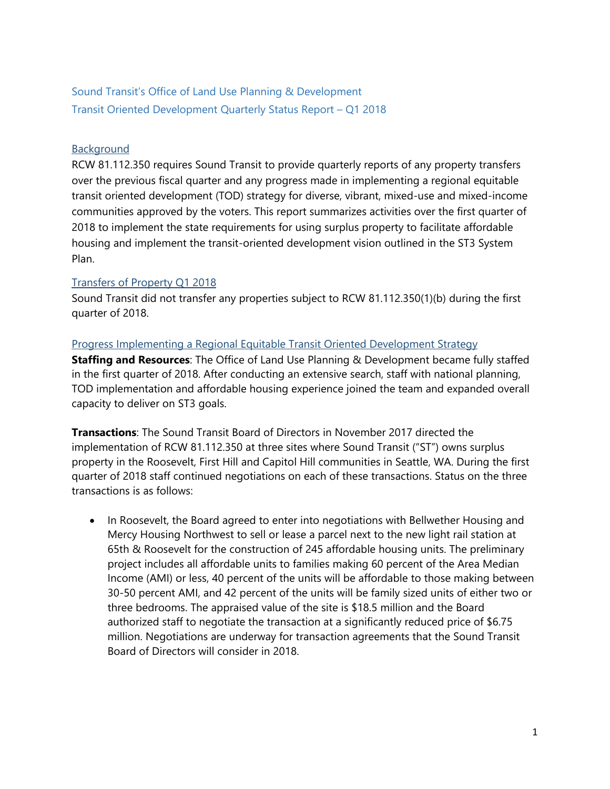## Sound Transit's Office of Land Use Planning & Development Transit Oriented Development Quarterly Status Report – Q1 2018

## **Background**

RCW 81.112.350 requires Sound Transit to provide quarterly reports of any property transfers over the previous fiscal quarter and any progress made in implementing a regional equitable transit oriented development (TOD) strategy for diverse, vibrant, mixed-use and mixed-income communities approved by the voters. This report summarizes activities over the first quarter of 2018 to implement the state requirements for using surplus property to facilitate affordable housing and implement the transit-oriented development vision outlined in the ST3 System Plan.

## Transfers of Property Q1 2018

Sound Transit did not transfer any properties subject to RCW 81.112.350(1)(b) during the first quarter of 2018.

## Progress Implementing a Regional Equitable Transit Oriented Development Strategy

**Staffing and Resources**: The Office of Land Use Planning & Development became fully staffed in the first quarter of 2018. After conducting an extensive search, staff with national planning, TOD implementation and affordable housing experience joined the team and expanded overall capacity to deliver on ST3 goals.

**Transactions**: The Sound Transit Board of Directors in November 2017 directed the implementation of RCW 81.112.350 at three sites where Sound Transit ("ST") owns surplus property in the Roosevelt, First Hill and Capitol Hill communities in Seattle, WA. During the first quarter of 2018 staff continued negotiations on each of these transactions. Status on the three transactions is as follows:

• In Roosevelt, the Board agreed to enter into negotiations with Bellwether Housing and Mercy Housing Northwest to sell or lease a parcel next to the new light rail station at 65th & Roosevelt for the construction of 245 affordable housing units. The preliminary project includes all affordable units to families making 60 percent of the Area Median Income (AMI) or less, 40 percent of the units will be affordable to those making between 30-50 percent AMI, and 42 percent of the units will be family sized units of either two or three bedrooms. The appraised value of the site is \$18.5 million and the Board authorized staff to negotiate the transaction at a significantly reduced price of \$6.75 million. Negotiations are underway for transaction agreements that the Sound Transit Board of Directors will consider in 2018.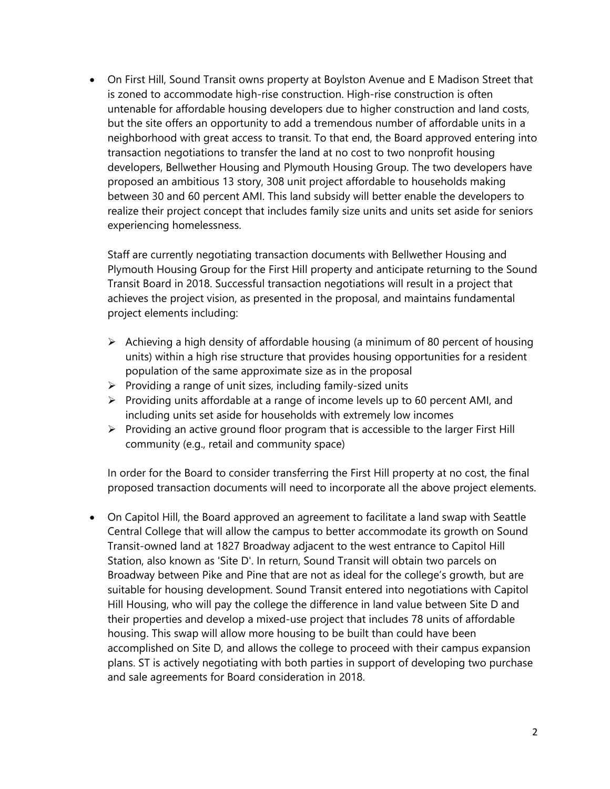On First Hill, Sound Transit owns property at Boylston Avenue and E Madison Street that is zoned to accommodate high-rise construction. High-rise construction is often untenable for affordable housing developers due to higher construction and land costs, but the site offers an opportunity to add a tremendous number of affordable units in a neighborhood with great access to transit. To that end, the Board approved entering into transaction negotiations to transfer the land at no cost to two nonprofit housing developers, Bellwether Housing and Plymouth Housing Group. The two developers have proposed an ambitious 13 story, 308 unit project affordable to households making between 30 and 60 percent AMI. This land subsidy will better enable the developers to realize their project concept that includes family size units and units set aside for seniors experiencing homelessness.

Staff are currently negotiating transaction documents with Bellwether Housing and Plymouth Housing Group for the First Hill property and anticipate returning to the Sound Transit Board in 2018. Successful transaction negotiations will result in a project that achieves the project vision, as presented in the proposal, and maintains fundamental project elements including:

- $\triangleright$  Achieving a high density of affordable housing (a minimum of 80 percent of housing units) within a high rise structure that provides housing opportunities for a resident population of the same approximate size as in the proposal
- $\triangleright$  Providing a range of unit sizes, including family-sized units
- $\triangleright$  Providing units affordable at a range of income levels up to 60 percent AMI, and including units set aside for households with extremely low incomes
- $\triangleright$  Providing an active ground floor program that is accessible to the larger First Hill community (e.g., retail and community space)

In order for the Board to consider transferring the First Hill property at no cost, the final proposed transaction documents will need to incorporate all the above project elements.

 On Capitol Hill, the Board approved an agreement to facilitate a land swap with Seattle Central College that will allow the campus to better accommodate its growth on Sound Transit-owned land at 1827 Broadway adjacent to the west entrance to Capitol Hill Station, also known as 'Site D'. In return, Sound Transit will obtain two parcels on Broadway between Pike and Pine that are not as ideal for the college's growth, but are suitable for housing development. Sound Transit entered into negotiations with Capitol Hill Housing, who will pay the college the difference in land value between Site D and their properties and develop a mixed-use project that includes 78 units of affordable housing. This swap will allow more housing to be built than could have been accomplished on Site D, and allows the college to proceed with their campus expansion plans. ST is actively negotiating with both parties in support of developing two purchase and sale agreements for Board consideration in 2018.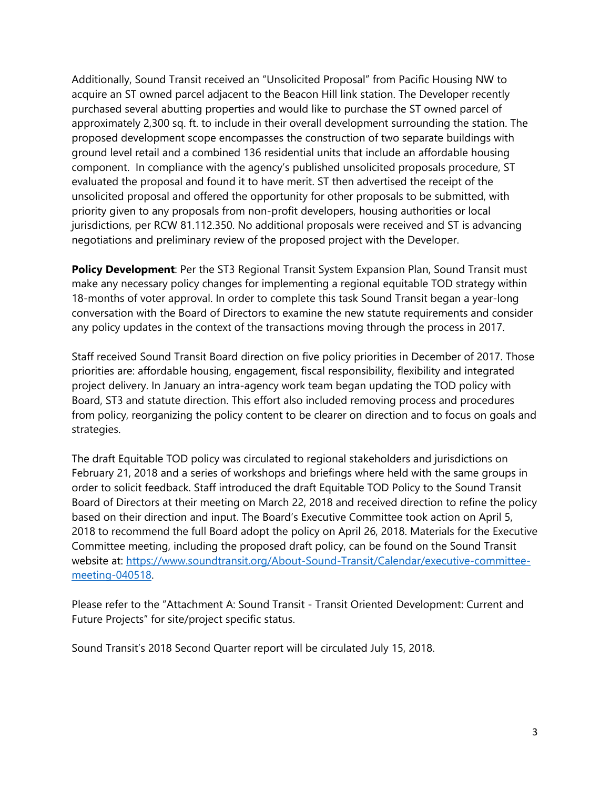Additionally, Sound Transit received an "Unsolicited Proposal" from Pacific Housing NW to acquire an ST owned parcel adjacent to the Beacon Hill link station. The Developer recently purchased several abutting properties and would like to purchase the ST owned parcel of approximately 2,300 sq. ft. to include in their overall development surrounding the station. The proposed development scope encompasses the construction of two separate buildings with ground level retail and a combined 136 residential units that include an affordable housing component. In compliance with the agency's published unsolicited proposals procedure, ST evaluated the proposal and found it to have merit. ST then advertised the receipt of the unsolicited proposal and offered the opportunity for other proposals to be submitted, with priority given to any proposals from non-profit developers, housing authorities or local jurisdictions, per RCW 81.112.350. No additional proposals were received and ST is advancing negotiations and preliminary review of the proposed project with the Developer.

**Policy Development**: Per the ST3 Regional Transit System Expansion Plan, Sound Transit must make any necessary policy changes for implementing a regional equitable TOD strategy within 18-months of voter approval. In order to complete this task Sound Transit began a year-long conversation with the Board of Directors to examine the new statute requirements and consider any policy updates in the context of the transactions moving through the process in 2017.

Staff received Sound Transit Board direction on five policy priorities in December of 2017. Those priorities are: affordable housing, engagement, fiscal responsibility, flexibility and integrated project delivery. In January an intra-agency work team began updating the TOD policy with Board, ST3 and statute direction. This effort also included removing process and procedures from policy, reorganizing the policy content to be clearer on direction and to focus on goals and strategies.

The draft Equitable TOD policy was circulated to regional stakeholders and jurisdictions on February 21, 2018 and a series of workshops and briefings where held with the same groups in order to solicit feedback. Staff introduced the draft Equitable TOD Policy to the Sound Transit Board of Directors at their meeting on March 22, 2018 and received direction to refine the policy based on their direction and input. The Board's Executive Committee took action on April 5, 2018 to recommend the full Board adopt the policy on April 26, 2018. Materials for the Executive Committee meeting, including the proposed draft policy, can be found on the Sound Transit website at: https://www.soundtransit.org/About-Sound-Transit/Calendar/executive-committeemeeting-040518.

Please refer to the "Attachment A: Sound Transit - Transit Oriented Development: Current and Future Projects" for site/project specific status.

Sound Transit's 2018 Second Quarter report will be circulated July 15, 2018.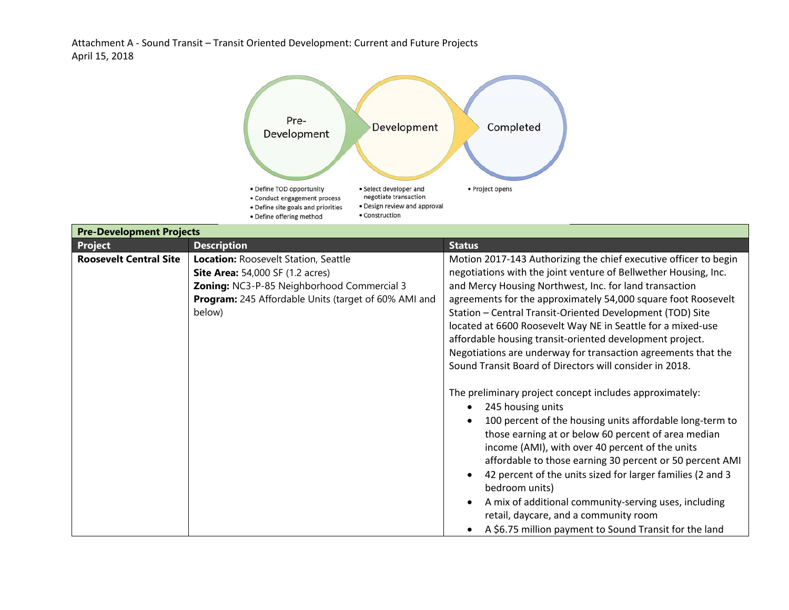Attachment A ‐ Sound Transit – Transit Oriented Development: Current and Future Projects April 15, 2018



| <b>Pre-Development Projects</b> |                                                                                                                                                                                                        |                                                                                                                                                                                                                                                                                                                                                                                                                                                                                                                                                                                    |  |
|---------------------------------|--------------------------------------------------------------------------------------------------------------------------------------------------------------------------------------------------------|------------------------------------------------------------------------------------------------------------------------------------------------------------------------------------------------------------------------------------------------------------------------------------------------------------------------------------------------------------------------------------------------------------------------------------------------------------------------------------------------------------------------------------------------------------------------------------|--|
| <b>Project</b>                  | <b>Description</b>                                                                                                                                                                                     | <b>Status</b>                                                                                                                                                                                                                                                                                                                                                                                                                                                                                                                                                                      |  |
| <b>Roosevelt Central Site</b>   | Location: Roosevelt Station, Seattle<br><b>Site Area:</b> 54,000 SF (1.2 acres)<br>Zoning: NC3-P-85 Neighborhood Commercial 3<br><b>Program:</b> 245 Affordable Units (target of 60% AMI and<br>below) | Motion 2017-143 Authorizing the chief executive officer to begin<br>negotiations with the joint venture of Bellwether Housing, Inc.<br>and Mercy Housing Northwest, Inc. for land transaction<br>agreements for the approximately 54,000 square foot Roosevelt<br>Station - Central Transit-Oriented Development (TOD) Site<br>located at 6600 Roosevelt Way NE in Seattle for a mixed-use<br>affordable housing transit-oriented development project.<br>Negotiations are underway for transaction agreements that the<br>Sound Transit Board of Directors will consider in 2018. |  |
|                                 |                                                                                                                                                                                                        | The preliminary project concept includes approximately:<br>245 housing units<br>100 percent of the housing units affordable long-term to<br>those earning at or below 60 percent of area median<br>income (AMI), with over 40 percent of the units<br>affordable to those earning 30 percent or 50 percent AMI<br>42 percent of the units sized for larger families (2 and 3<br>bedroom units)<br>A mix of additional community-serving uses, including<br>retail, daycare, and a community room<br>A \$6.75 million payment to Sound Transit for the land                         |  |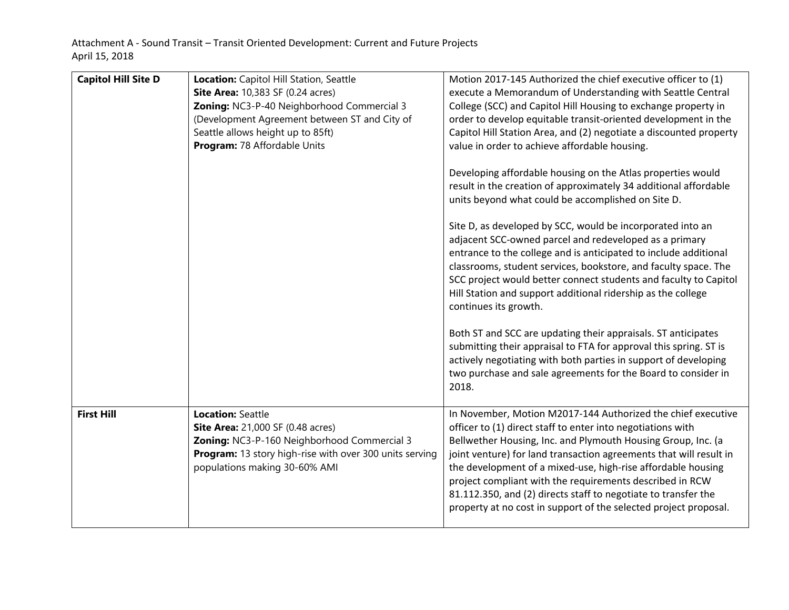| <b>Capitol Hill Site D</b> | Location: Capitol Hill Station, Seattle<br><b>Site Area:</b> 10,383 SF (0.24 acres)<br>Zoning: NC3-P-40 Neighborhood Commercial 3<br>(Development Agreement between ST and City of<br>Seattle allows height up to 85ft)<br>Program: 78 Affordable Units | Motion 2017-145 Authorized the chief executive officer to (1)<br>execute a Memorandum of Understanding with Seattle Central<br>College (SCC) and Capitol Hill Housing to exchange property in<br>order to develop equitable transit-oriented development in the<br>Capitol Hill Station Area, and (2) negotiate a discounted property<br>value in order to achieve affordable housing.<br>Developing affordable housing on the Atlas properties would<br>result in the creation of approximately 34 additional affordable<br>units beyond what could be accomplished on Site D.<br>Site D, as developed by SCC, would be incorporated into an<br>adjacent SCC-owned parcel and redeveloped as a primary<br>entrance to the college and is anticipated to include additional<br>classrooms, student services, bookstore, and faculty space. The |
|----------------------------|---------------------------------------------------------------------------------------------------------------------------------------------------------------------------------------------------------------------------------------------------------|------------------------------------------------------------------------------------------------------------------------------------------------------------------------------------------------------------------------------------------------------------------------------------------------------------------------------------------------------------------------------------------------------------------------------------------------------------------------------------------------------------------------------------------------------------------------------------------------------------------------------------------------------------------------------------------------------------------------------------------------------------------------------------------------------------------------------------------------|
|                            |                                                                                                                                                                                                                                                         | SCC project would better connect students and faculty to Capitol<br>Hill Station and support additional ridership as the college<br>continues its growth.                                                                                                                                                                                                                                                                                                                                                                                                                                                                                                                                                                                                                                                                                      |
|                            |                                                                                                                                                                                                                                                         | Both ST and SCC are updating their appraisals. ST anticipates<br>submitting their appraisal to FTA for approval this spring. ST is<br>actively negotiating with both parties in support of developing<br>two purchase and sale agreements for the Board to consider in<br>2018.                                                                                                                                                                                                                                                                                                                                                                                                                                                                                                                                                                |
| <b>First Hill</b>          | <b>Location: Seattle</b><br><b>Site Area:</b> 21,000 SF (0.48 acres)<br>Zoning: NC3-P-160 Neighborhood Commercial 3<br>Program: 13 story high-rise with over 300 units serving<br>populations making 30-60% AMI                                         | In November, Motion M2017-144 Authorized the chief executive<br>officer to (1) direct staff to enter into negotiations with<br>Bellwether Housing, Inc. and Plymouth Housing Group, Inc. (a<br>joint venture) for land transaction agreements that will result in<br>the development of a mixed-use, high-rise affordable housing<br>project compliant with the requirements described in RCW<br>81.112.350, and (2) directs staff to negotiate to transfer the<br>property at no cost in support of the selected project proposal.                                                                                                                                                                                                                                                                                                            |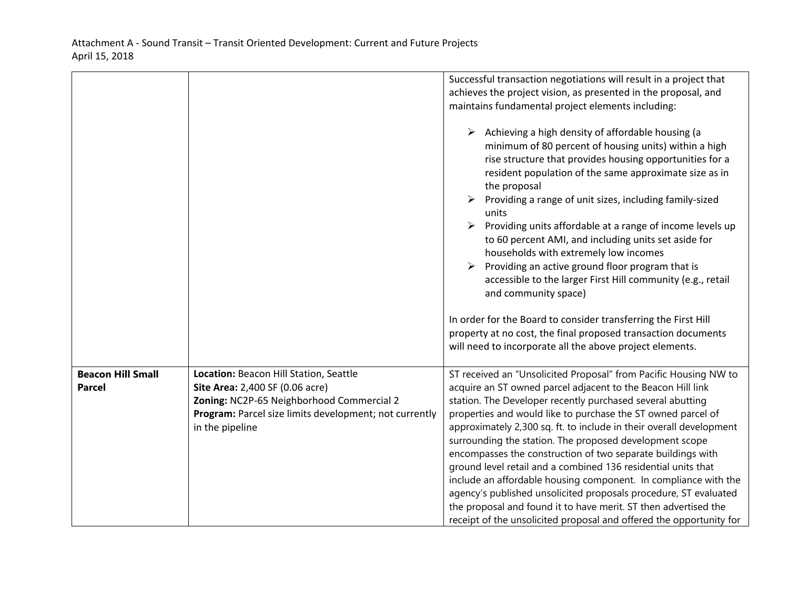|                                           |                                                                                                                                                                                                     | Successful transaction negotiations will result in a project that<br>achieves the project vision, as presented in the proposal, and<br>maintains fundamental project elements including:<br>Achieving a high density of affordable housing (a<br>➤<br>minimum of 80 percent of housing units) within a high<br>rise structure that provides housing opportunities for a<br>resident population of the same approximate size as in<br>the proposal<br>Providing a range of unit sizes, including family-sized<br>units<br>Providing units affordable at a range of income levels up<br>➤<br>to 60 percent AMI, and including units set aside for<br>households with extremely low incomes<br>Providing an active ground floor program that is<br>accessible to the larger First Hill community (e.g., retail      |  |  |
|-------------------------------------------|-----------------------------------------------------------------------------------------------------------------------------------------------------------------------------------------------------|------------------------------------------------------------------------------------------------------------------------------------------------------------------------------------------------------------------------------------------------------------------------------------------------------------------------------------------------------------------------------------------------------------------------------------------------------------------------------------------------------------------------------------------------------------------------------------------------------------------------------------------------------------------------------------------------------------------------------------------------------------------------------------------------------------------|--|--|
|                                           |                                                                                                                                                                                                     | and community space)<br>In order for the Board to consider transferring the First Hill<br>property at no cost, the final proposed transaction documents<br>will need to incorporate all the above project elements.                                                                                                                                                                                                                                                                                                                                                                                                                                                                                                                                                                                              |  |  |
| <b>Beacon Hill Small</b><br><b>Parcel</b> | Location: Beacon Hill Station, Seattle<br>Site Area: 2,400 SF (0.06 acre)<br>Zoning: NC2P-65 Neighborhood Commercial 2<br>Program: Parcel size limits development; not currently<br>in the pipeline | ST received an "Unsolicited Proposal" from Pacific Housing NW to<br>acquire an ST owned parcel adjacent to the Beacon Hill link<br>station. The Developer recently purchased several abutting<br>properties and would like to purchase the ST owned parcel of<br>approximately 2,300 sq. ft. to include in their overall development<br>surrounding the station. The proposed development scope<br>encompasses the construction of two separate buildings with<br>ground level retail and a combined 136 residential units that<br>include an affordable housing component. In compliance with the<br>agency's published unsolicited proposals procedure, ST evaluated<br>the proposal and found it to have merit. ST then advertised the<br>receipt of the unsolicited proposal and offered the opportunity for |  |  |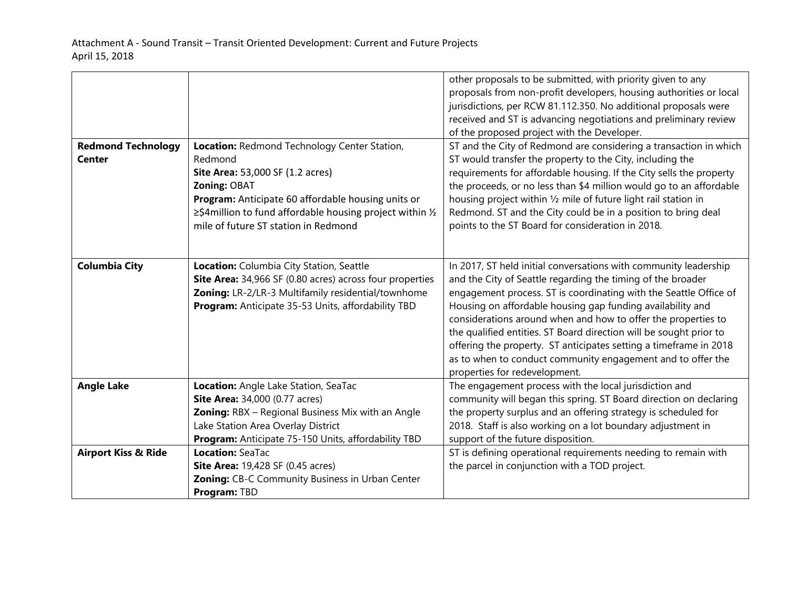|                                            |                                                                                                                                                                                                                                                                                         | other proposals to be submitted, with priority given to any<br>proposals from non-profit developers, housing authorities or local<br>jurisdictions, per RCW 81.112.350. No additional proposals were                                                                                                                                                                                                                                                                                                                                                                           |
|--------------------------------------------|-----------------------------------------------------------------------------------------------------------------------------------------------------------------------------------------------------------------------------------------------------------------------------------------|--------------------------------------------------------------------------------------------------------------------------------------------------------------------------------------------------------------------------------------------------------------------------------------------------------------------------------------------------------------------------------------------------------------------------------------------------------------------------------------------------------------------------------------------------------------------------------|
|                                            |                                                                                                                                                                                                                                                                                         | received and ST is advancing negotiations and preliminary review<br>of the proposed project with the Developer.                                                                                                                                                                                                                                                                                                                                                                                                                                                                |
| <b>Redmond Technology</b><br><b>Center</b> | Location: Redmond Technology Center Station,<br>Redmond<br>Site Area: 53,000 SF (1.2 acres)<br>Zoning: OBAT<br>Program: Anticipate 60 affordable housing units or<br>$\geq$ \$4 million to fund affordable housing project within $\frac{1}{2}$<br>mile of future ST station in Redmond | ST and the City of Redmond are considering a transaction in which<br>ST would transfer the property to the City, including the<br>requirements for affordable housing. If the City sells the property<br>the proceeds, or no less than \$4 million would go to an affordable<br>housing project within 1/2 mile of future light rail station in<br>Redmond. ST and the City could be in a position to bring deal<br>points to the ST Board for consideration in 2018.                                                                                                          |
| <b>Columbia City</b>                       | Location: Columbia City Station, Seattle<br>Site Area: 34,966 SF (0.80 acres) across four properties<br>Zoning: LR-2/LR-3 Multifamily residential/townhome<br>Program: Anticipate 35-53 Units, affordability TBD                                                                        | In 2017, ST held initial conversations with community leadership<br>and the City of Seattle regarding the timing of the broader<br>engagement process. ST is coordinating with the Seattle Office of<br>Housing on affordable housing gap funding availability and<br>considerations around when and how to offer the properties to<br>the qualified entities. ST Board direction will be sought prior to<br>offering the property. ST anticipates setting a timeframe in 2018<br>as to when to conduct community engagement and to offer the<br>properties for redevelopment. |
| <b>Angle Lake</b>                          | Location: Angle Lake Station, SeaTac<br><b>Site Area:</b> 34,000 (0.77 acres)<br>Zoning: RBX - Regional Business Mix with an Angle<br>Lake Station Area Overlay District<br>Program: Anticipate 75-150 Units, affordability TBD                                                         | The engagement process with the local jurisdiction and<br>community will began this spring. ST Board direction on declaring<br>the property surplus and an offering strategy is scheduled for<br>2018. Staff is also working on a lot boundary adjustment in<br>support of the future disposition.                                                                                                                                                                                                                                                                             |
| <b>Airport Kiss &amp; Ride</b>             | Location: SeaTac<br><b>Site Area: 19,428 SF (0.45 acres)</b><br>Zoning: CB-C Community Business in Urban Center<br>Program: TBD                                                                                                                                                         | ST is defining operational requirements needing to remain with<br>the parcel in conjunction with a TOD project.                                                                                                                                                                                                                                                                                                                                                                                                                                                                |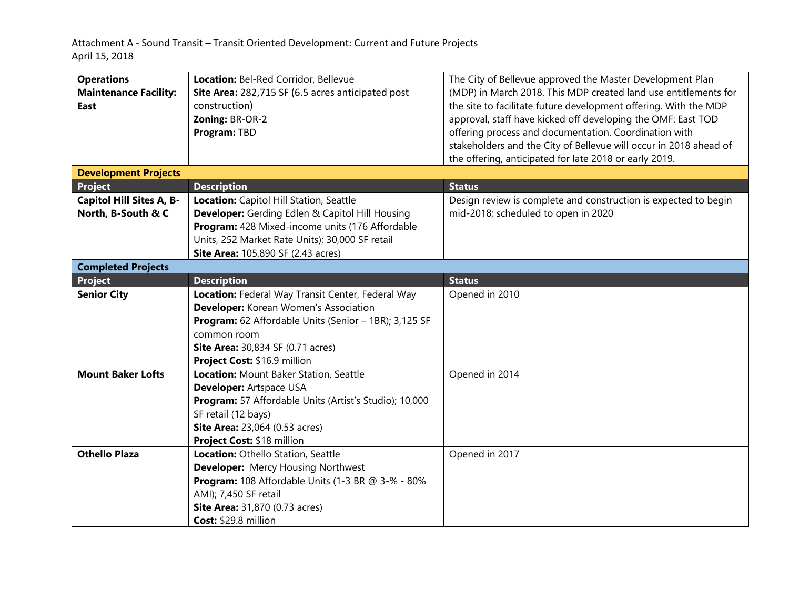Attachment A ‐ Sound Transit – Transit Oriented Development: Current and Future Projects April 15, 2018

| <b>Operations</b>               | Location: Bel-Red Corridor, Bellevue                     | The City of Bellevue approved the Master Development Plan         |  |  |  |  |
|---------------------------------|----------------------------------------------------------|-------------------------------------------------------------------|--|--|--|--|
| <b>Maintenance Facility:</b>    | Site Area: 282,715 SF (6.5 acres anticipated post        | (MDP) in March 2018. This MDP created land use entitlements for   |  |  |  |  |
| East                            | construction)                                            | the site to facilitate future development offering. With the MDP  |  |  |  |  |
|                                 | Zoning: BR-OR-2                                          | approval, staff have kicked off developing the OMF: East TOD      |  |  |  |  |
|                                 | Program: TBD                                             | offering process and documentation. Coordination with             |  |  |  |  |
|                                 |                                                          | stakeholders and the City of Bellevue will occur in 2018 ahead of |  |  |  |  |
|                                 |                                                          | the offering, anticipated for late 2018 or early 2019.            |  |  |  |  |
| <b>Development Projects</b>     |                                                          |                                                                   |  |  |  |  |
| <b>Project</b>                  | <b>Description</b>                                       | <b>Status</b>                                                     |  |  |  |  |
| <b>Capitol Hill Sites A, B-</b> | Location: Capitol Hill Station, Seattle                  | Design review is complete and construction is expected to begin   |  |  |  |  |
| North, B-South & C              | <b>Developer:</b> Gerding Edlen & Capitol Hill Housing   | mid-2018; scheduled to open in 2020                               |  |  |  |  |
|                                 | Program: 428 Mixed-income units (176 Affordable          |                                                                   |  |  |  |  |
|                                 | Units, 252 Market Rate Units); 30,000 SF retail          |                                                                   |  |  |  |  |
|                                 | <b>Site Area:</b> 105,890 SF (2.43 acres)                |                                                                   |  |  |  |  |
| <b>Completed Projects</b>       |                                                          |                                                                   |  |  |  |  |
| <b>Project</b>                  | <b>Description</b>                                       | <b>Status</b>                                                     |  |  |  |  |
| <b>Senior City</b>              | Location: Federal Way Transit Center, Federal Way        | Opened in 2010                                                    |  |  |  |  |
|                                 | Developer: Korean Women's Association                    |                                                                   |  |  |  |  |
|                                 | Program: 62 Affordable Units (Senior - 1BR); 3,125 SF    |                                                                   |  |  |  |  |
|                                 | common room                                              |                                                                   |  |  |  |  |
|                                 | <b>Site Area: 30,834 SF (0.71 acres)</b>                 |                                                                   |  |  |  |  |
|                                 | Project Cost: \$16.9 million                             |                                                                   |  |  |  |  |
| <b>Mount Baker Lofts</b>        | Location: Mount Baker Station, Seattle                   | Opened in 2014                                                    |  |  |  |  |
|                                 | <b>Developer: Artspace USA</b>                           |                                                                   |  |  |  |  |
|                                 | Program: 57 Affordable Units (Artist's Studio); 10,000   |                                                                   |  |  |  |  |
|                                 | SF retail (12 bays)                                      |                                                                   |  |  |  |  |
|                                 | <b>Site Area:</b> 23,064 (0.53 acres)                    |                                                                   |  |  |  |  |
|                                 | Project Cost: \$18 million                               |                                                                   |  |  |  |  |
| <b>Othello Plaza</b>            | Location: Othello Station, Seattle                       | Opened in 2017                                                    |  |  |  |  |
|                                 | <b>Developer:</b> Mercy Housing Northwest                |                                                                   |  |  |  |  |
|                                 | <b>Program:</b> 108 Affordable Units (1-3 BR @ 3-% - 80% |                                                                   |  |  |  |  |
|                                 | AMI); 7,450 SF retail                                    |                                                                   |  |  |  |  |
|                                 | <b>Site Area:</b> 31,870 (0.73 acres)                    |                                                                   |  |  |  |  |
|                                 | Cost: \$29.8 million                                     |                                                                   |  |  |  |  |